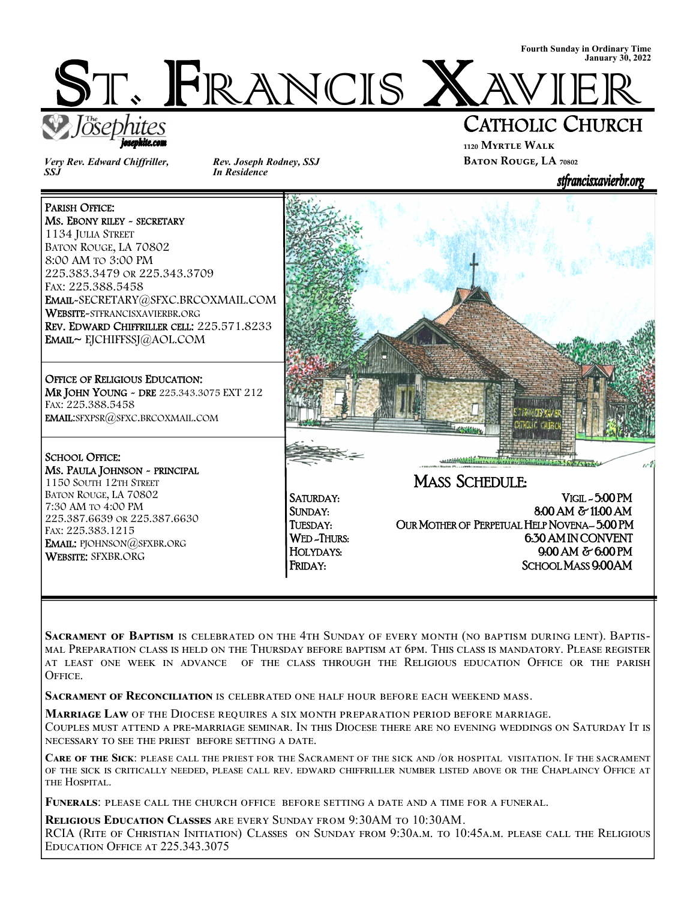ST. FRANCIS X **Fourth Sunday in Ordinary Time January 30, 2022**

iosephite.com

*Rev. Joseph Rodney, SSJ In Residence* 

## CATHOLIC CHURCH

**₁₁₂₀ Myrtle Walk BATON ROUGE, LA 70802** 

stfrancisxavierbr.org

*Very Rev. Edward Chiffriller, SSJ* 

PARISH OFFICE:

MS. EBONY RILEY - SECRETARY 1134 JULIA STREET BATON ROUGE, LA 70802

8:00 AM TO 3:00 PM 225.383.3479 OR 225.343.3709 FAX: 225.388.5458 EMAIL-SECRETARY@SFXC.BRCOXMAIL.COM WEBSITE-STFRANCISXAVIERBR.ORG REV. EDWARD CHIFFRILLER CELL: 225.571.8233 EMAIL~ EJCHIFFSSJ@AOL.COM

İ OFFICE OF RELIGIOUS EDUCATION: MR JOHN YOUNG - DRE 225.343.3075 EXT 212 FAX: 225.388.5458 EMAIL:SFXPSR@SFXC.BRCOXMAIL.COM L

### SCHOOL OFFICE:

í

MS. PAULA JOHNSON ~ PRINCIPAL 1150 SOUTH 12TH STREET BATON ROUGE, LA 70802 7:30 AM TO 4:00 PM 225.387.6639 OR 225.387.6630 FAX: 225.383.1215 EMAIL: PJOHNSON@SFXBR.ORG WEBSITE: SFXBR.ORG

SUNDAY: 8:00 AM & 11:00 AM<br>TUESDAY: OUR MOTHER OF PERPETUAL HELP NOVENA-5:00 PM OUR MOTHER OF PERPETUAL HELP NOVENA-5:00 PM WED-THURS: 6.30 AM IN CONVENT HOLYDAYS: 9:00 AM & 6:00 PM FRIDAY: SCHOOL MASS 9:00 AM

SACRAMENT OF BAPTISM IS CELEBRATED ON THE 4TH SUNDAY OF EVERY MONTH (NO BAPTISM DURING LENT). BAPTIS-MAL PREPARATION CLASS IS HELD ON THE THURSDAY BEFORE BAPTISM AT 6PM. THIS CLASS IS MANDATORY. PLEASE REGISTER AT LEAST ONE WEEK IN ADVANCE OF THE CLASS THROUGH THE RELIGIOUS EDUCATION OFFICE OR THE PARISH OFFICE.

**SACRAMENT OF RECONCILIATION IS CELEBRATED ONE HALF HOUR BEFORE EACH WEEKEND MASS.** 

**MARRIAGE LAW OF THE DIOCESE REQUIRES A SIX MONTH PREPARATION PERIOD BEFORE MARRIAGE.** 

COUPLES MUST ATTEND A PRE-MARRIAGE SEMINAR. IN THIS DIOCESE THERE ARE NO EVENING WEDDINGS ON SATURDAY IT IS NECESSARY TO SEE THE PRIEST BEFORE SETTING A DATE.

**CARE OF THE SICK: PLEASE** CALL THE PRIEST FOR THE SACRAMENT OF THE SICK AND /OR HOSPITAL VISITATION. IF THE SACRAMENT OF THE SICK IS CRITICALLY NEEDED, PLEASE CALL REV. EDWARD CHIFFRILLER NUMBER LISTED ABOVE OR THE CHAPLAINCY OFFICE AT THE HOSPITAL.

FUNERALS: PLEASE CALL THE CHURCH OFFICE BEFORE SETTING A DATE AND A TIME FOR A FUNERAL.

**RELIGIOUS EDUCATION CLASSES** ARE EVERY SUNDAY FROM 9:30AM TO 10:30AM. RCIA (RITE OF CHRISTIAN INITIATION) CLASSES ON SUNDAY FROM 9:30A.M. TO 10:45A.M. PLEASE CALL THE RELIGIOUS EDUCATION OFFICE AT 225.343.3075

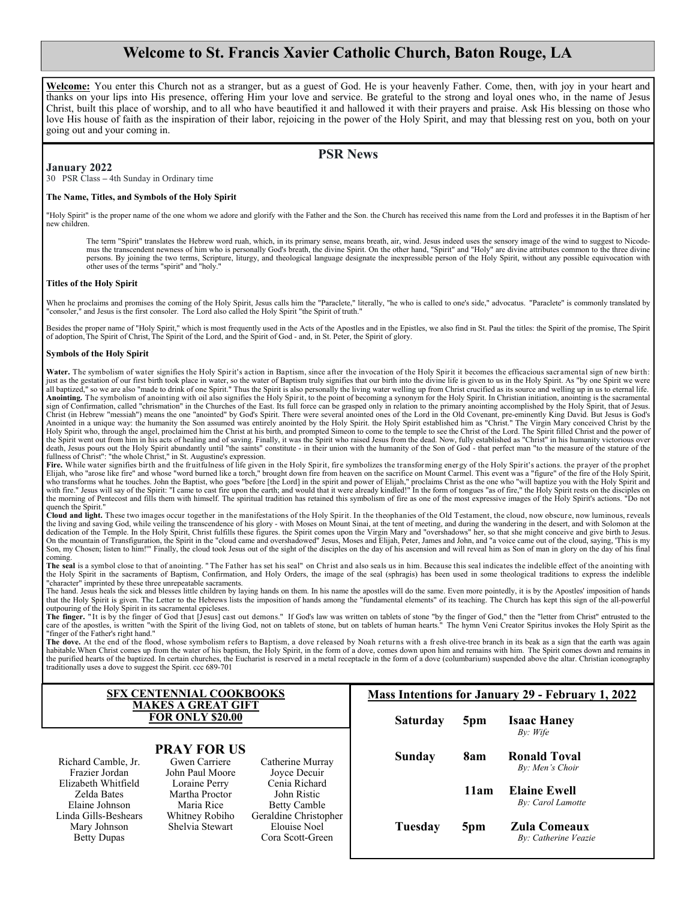### **Welcome to St. Francis Xavier Catholic Church, Baton Rouge, LA**

**Welcome:** You enter this Church not as a stranger, but as a guest of God. He is your heavenly Father. Come, then, with joy in your heart and thanks on your lips into His presence, offering Him your love and service. Be grateful to the strong and loyal ones who, in the name of Jesus Christ, built this place of worship, and to all who have beautified it and hallowed it with their prayers and praise. Ask His blessing on those who love His house of faith as the inspiration of their labor, rejoicing in the power of the Holy Spirit, and may that blessing rest on you, both on your going out and your coming in.

#### **PSR News**

#### **January 2022**

30PSR Class **–** 4th Sunday in Ordinary time

#### **The Name, Titles, and Symbols of the Holy Spirit**

"Holy Spirit" is the proper name of the one whom we adore and glorify with the Father and the Son. the Church has received this name from the Lord and professes it in the Baptism of her new children.

The term "Spirit" translates the Hebrew word ruah, which, in its primary sense, means breath, air, wind. Jesus indeed uses the sensory image of the wind to suggest to Nicode-<br>mus the transcendent newness of him who is pers persons. By joining the two terms, Scripture, liturgy, and theological language designate the inexpressible person of the Holy Spirit, without any possible equivocation with other uses of the terms "spirit" and "holy."

#### **Titles of the Holy Spirit**

When he proclaims and promises the coming of the Holy Spirit, Jesus calls him the "Paraclete," literally, "he who is called to one's side," advocatus. "Paraclete" is commonly translated by 'consoler," and Jesus is the first consoler. The Lord also called the Holy Spirit "the Spirit of truth."

Besides the proper name of "Holy Spirit," which is most frequently used in the Acts of the Apostles and in the Epistles, we also find in St. Paul the titles: the Spirit of the promise, The Spirit of adoption,The Spirit of Christ,The Spirit of the Lord, and the Spirit of God - and, in St. Peter, the Spirit of glory.

#### **Symbols of the Holy Spirit**

Water. The symbolism of water signifies the Holy Spirit's action in Baptism, since after the invocation of the Holy Spirit it becomes the efficacious sacramental sign of new birth: just as the gestation of our first birth took place in water, so the water of Baptism truly signifies that our birth into the divine life is given to us in the Holy Spirit. As "by one Spirit we were all baptized," so we are also "made to drink of one Spirit." Thus the Spirit is also personally the living water welling up from Christ crucified as its source and welling up in us to eternal life. Anointing. The symbolism of anointing with oil also signifies the Holy Spirit, to the point of becoming a synonym for the Holy Spirit. In Christian initiation, anointing is the sacramental<br>sign of Confirmation, called "chr Anointed in a unique way: the humanity the Son assumed was entirely anointed by the Holy Spirit. the Holy Spirit established him as "Christ." The Virgin Mary conceived Christ by the Holy Spirit who, through the angel, proclaimed him the Christ at his birth, and prompted Simeon to come to the temple to see the Christ of the Lord. The Spirit filled Christ and the power of the Spirit went out from him in his acts of healing and of saving. Finally, it was the Spirit who raised Jesus from the dead. Now, fully established as "Christ" in his humanity victorious over death, Jesus pours out the Holy Spirit abundantly until "the saints" constitute - in their union with the humanity of the Son of God - that perfect man "to the measure of the stature of the fullness of Christ": "the whole Christ," in St. Augustine's expression.

**Fire.** While water signifies birth and the fruitfulness of life given in the Holy Spirit, fire symbolizes the transforming energy of the Holy Spirit's actions. the prayer of the prophet Elijah, who "arose like fire" and whose "word burned like a torch," brought down fire from heaven on the sacrifice on Mount Carmel. This event was a "figure" of the fire of the Holy Spirit, who transforms what he touches. the morning of Pentecost and fills them with himself. The spiritual tradition has retained this symbolism of fire as one of the most expressive images of the Holy Spirit's actions. "Do not quench the Spirit."

**Cloud and light.** These two images occur together in the manifestations of the Holy Spirit. In the theophanies of the Old Testament, the cloud, now obscure, now luminous, reveals the living and saving God, while veiling the transcendence of his glory - with Moses on Mount Sinai, at the tent of meeting, and during the wandering in the desert, and with Solomon at the dedication of the Temple. In the coming.

The seal is a symbol close to that of anointing. "The Father has set his seal" on Christ and also seals us in him. Because this seal indicates the indelible effect of the anointing with<br>the Holy Spirit in the sacraments of

"character" imprinted by these three unrepeatable sacraments.<br>The hand. Jesus heals the sick and blesses little children by laying hands on them. In his name the apostles will do the same. Even more pointedly, it is by the that the Holy Spirit is given. The Letter to the Hebrews lists the imposition of hands among the "fundamental elements" of its teaching. The Church has kept this sign of the all-powerful outpouring of the Holy Spirit in its sacramental epicleses.

The finger. "It is by the finger of God that [Jesus] cast out demons." If God's law was written on tablets of stone "by the finger of God," then the "letter from Christ" entrusted to the care of the apostles, is written "w

The dove. At the end of the flood, whose symbolism refers to Baptism, a dove released by Noah returns with a fresh olive-tree branch in its beak as a sign that the earth was again habitable.When Christ comes up from the water of his baptism, the Holy Spirit, in the form of a dove, comes down upon him and remains with him. The Spirit comes down and remains in the purified hearts of the baptized. In certain churches, the Eucharist is reserved in a metal receptacle in the form of a dove (columbarium) suspended above the altar. Christian iconography traditionally uses a dove to suggest the Spirit. ccc 689-701

| <b>SFX CENTENNIAL COOKBOOKS</b><br><b>MAKES A GREAT GIFT</b><br><b>FOR ONLY \$20.00</b> |                                                        |                                                           | <b>Mass Intentions for January 29 - February 1, 2022</b> |      |                                          |
|-----------------------------------------------------------------------------------------|--------------------------------------------------------|-----------------------------------------------------------|----------------------------------------------------------|------|------------------------------------------|
|                                                                                         |                                                        |                                                           | <b>Saturday</b>                                          | 5pm  | <b>Isaac Haney</b><br>$Bv$ : Wife        |
| Richard Camble, Jr.<br>Frazier Jordan                                                   | <b>PRAY FOR US</b><br>Gwen Carriere<br>John Paul Moore | Catherine Murray<br>Joyce Decuir                          | Sunday                                                   | 8am  | <b>Ronald Toval</b><br>By: Men's Choir   |
| Elizabeth Whitfield<br>Zelda Bates<br>Elaine Johnson<br>Linda Gills-Beshears            | Loraine Perry<br>Martha Proctor<br>Maria Rice          | Cenia Richard<br>John Ristic<br><b>Betty Camble</b>       |                                                          | 11am | <b>Elaine Ewell</b><br>By: Carol Lamotte |
| Mary Johnson<br><b>Betty Dupas</b>                                                      | Whitney Robiho<br>Shelvia Stewart                      | Geraldine Christopher<br>Elouise Noel<br>Cora Scott-Green | Tuesday                                                  | 5pm  | Zula Comeaux<br>By: Catherine Veazie     |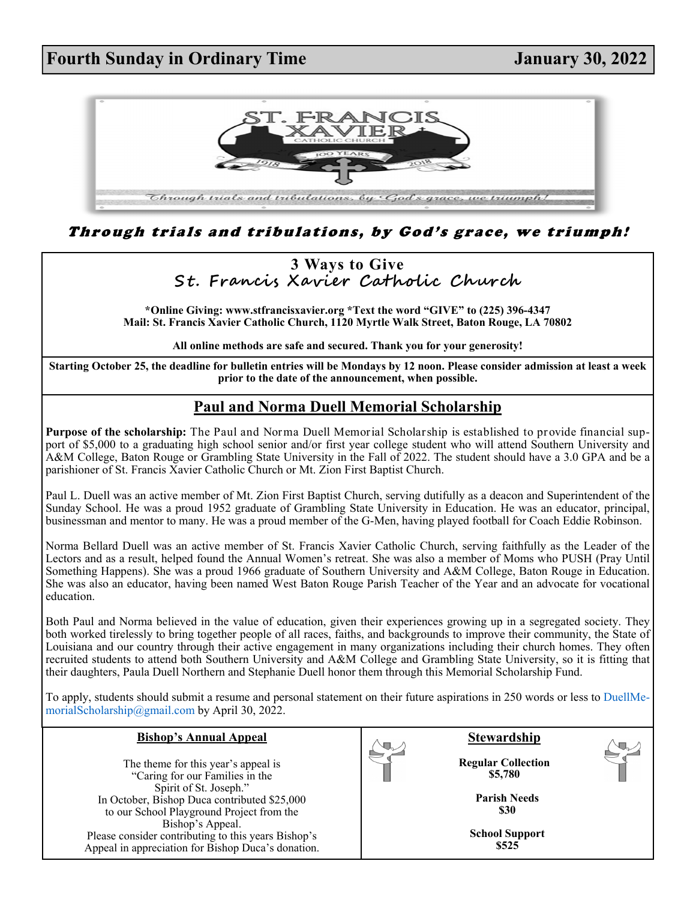### **Fourth Sunday in Ordinary Time January 30, 2022**

Please consider contributing to this years Bishop's Appeal in appreciation for Bishop Duca's donation.



Through trials and tribulations, by God's grace, we triumph!



**School Support \$525**